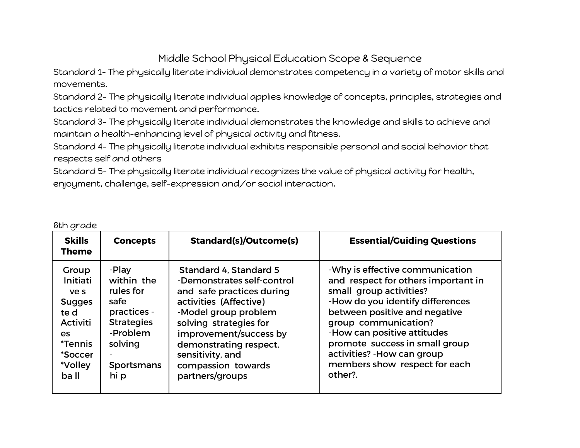## Middle School Physical Education Scope & Sequence

Standard 1- The physically literate individual demonstrates competency in a variety of motor skills and movements.

Standard 2- The physically literate individual applies knowledge of concepts, principles, strategies and tactics related to movement and performance.

Standard 3- The physically literate individual demonstrates the knowledge and skills to achieve and maintain a health-enhancing level of physical activity and fitness.

Standard 4- The physically literate individual exhibits responsible personal and social behavior that respects self and others

Standard 5- The physically literate individual recognizes the value of physical activity for health, enjoyment, challenge, self-expression and/or social interaction.

| <b>Skills</b><br><b>Theme</b>                                                                                                       | <b>Concepts</b>                                                                                                                  | <b>Standard(s)/Outcome(s)</b>                                                                                                                                                                                                                                                  | <b>Essential/Guiding Questions</b>                                                                                                                                                                                                                                                                                                         |
|-------------------------------------------------------------------------------------------------------------------------------------|----------------------------------------------------------------------------------------------------------------------------------|--------------------------------------------------------------------------------------------------------------------------------------------------------------------------------------------------------------------------------------------------------------------------------|--------------------------------------------------------------------------------------------------------------------------------------------------------------------------------------------------------------------------------------------------------------------------------------------------------------------------------------------|
| Group<br>Initiati<br>ve s<br><b>Sugges</b><br>te d<br><b>Activiti</b><br>es<br><i><b>*Tennis</b></i><br>*Soccer<br>*Volley<br>ba II | -Play<br>within the<br>rules for<br>safe<br>practices -<br><b>Strategies</b><br>-Problem<br>solving<br><b>Sportsmans</b><br>hi p | Standard 4, Standard 5<br>-Demonstrates self-control<br>and safe practices during<br>activities (Affective)<br>-Model group problem<br>solving strategies for<br>improvement/success by<br>demonstrating respect,<br>sensitivity, and<br>compassion towards<br>partners/groups | -Why is effective communication<br>and respect for others important in<br>small group activities?<br>-How do you identify differences<br>between positive and negative<br>group communication?<br>-How can positive attitudes<br>promote success in small group<br>activities? - How can group<br>members show respect for each<br>other?. |

## 6th grade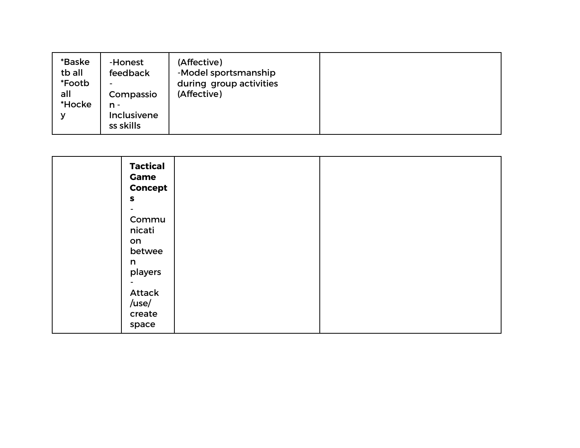| *Baske<br>tb all<br>*Footb<br>all<br>*Hocke<br>v | -Honest<br>feedback<br>Compassio<br>n -<br><b>Inclusivene</b><br>ss skills | (Affective)<br>-Model sportsmanship<br>during group activities<br>(Affective) |  |
|--------------------------------------------------|----------------------------------------------------------------------------|-------------------------------------------------------------------------------|--|
|--------------------------------------------------|----------------------------------------------------------------------------|-------------------------------------------------------------------------------|--|

| <b>Game</b><br>$\boldsymbol{\mathsf{s}}$      | <b>Tactical</b><br><b>Concept</b>    |  |
|-----------------------------------------------|--------------------------------------|--|
|                                               |                                      |  |
| nicati<br>on<br>n<br>/use/<br>create<br>space | Commu<br>betwee<br>players<br>Attack |  |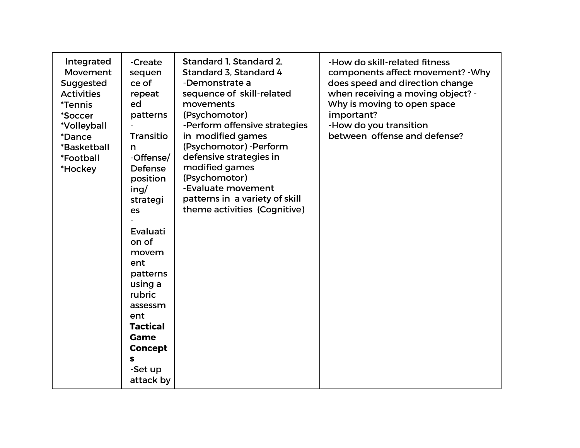| Integrated<br>Movement<br>Suggested<br><b>Activities</b><br><i><b>*Tennis</b></i><br>*Soccer<br>*Volleyball<br>*Dance<br>*Basketball<br>*Football<br>*Hockey | -Create<br>sequen<br>ce of<br>repeat<br>ed<br>patterns<br><b>Transitio</b><br>n<br>-Offense/<br><b>Defense</b><br>position<br>ing/<br>strategi<br>es<br>Evaluati<br>on of<br>movem<br>ent<br>patterns<br>using a<br>rubric<br>assessm<br>ent<br><b>Tactical</b><br><b>Game</b><br><b>Concept</b><br>s<br>-Set up<br>attack by | Standard 1, Standard 2,<br>Standard 3, Standard 4<br>-Demonstrate a<br>sequence of skill-related<br>movements<br>(Psychomotor)<br>-Perform offensive strategies<br>in modified games<br>(Psychomotor) - Perform<br>defensive strategies in<br>modified games<br>(Psychomotor)<br>-Evaluate movement<br>patterns in a variety of skill<br>theme activities (Cognitive) | -How do skill-related fitness<br>components affect movement? - Why<br>does speed and direction change<br>when receiving a moving object? -<br>Why is moving to open space<br>important?<br>-How do you transition<br>between offense and defense? |
|--------------------------------------------------------------------------------------------------------------------------------------------------------------|-------------------------------------------------------------------------------------------------------------------------------------------------------------------------------------------------------------------------------------------------------------------------------------------------------------------------------|-----------------------------------------------------------------------------------------------------------------------------------------------------------------------------------------------------------------------------------------------------------------------------------------------------------------------------------------------------------------------|---------------------------------------------------------------------------------------------------------------------------------------------------------------------------------------------------------------------------------------------------|
|--------------------------------------------------------------------------------------------------------------------------------------------------------------|-------------------------------------------------------------------------------------------------------------------------------------------------------------------------------------------------------------------------------------------------------------------------------------------------------------------------------|-----------------------------------------------------------------------------------------------------------------------------------------------------------------------------------------------------------------------------------------------------------------------------------------------------------------------------------------------------------------------|---------------------------------------------------------------------------------------------------------------------------------------------------------------------------------------------------------------------------------------------------|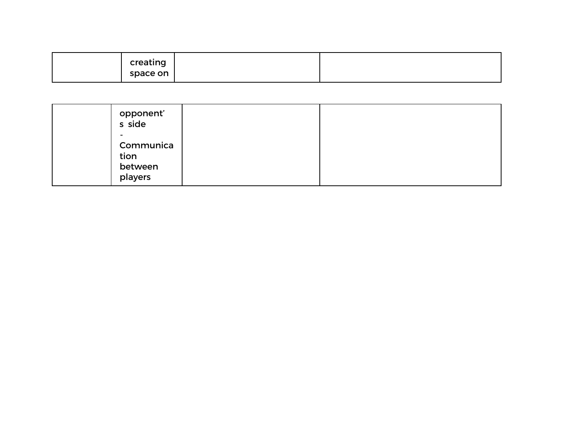| creating |  |
|----------|--|
| space on |  |

| opponent'<br>s side<br>-                |  |
|-----------------------------------------|--|
| Communica<br>tion<br>between<br>players |  |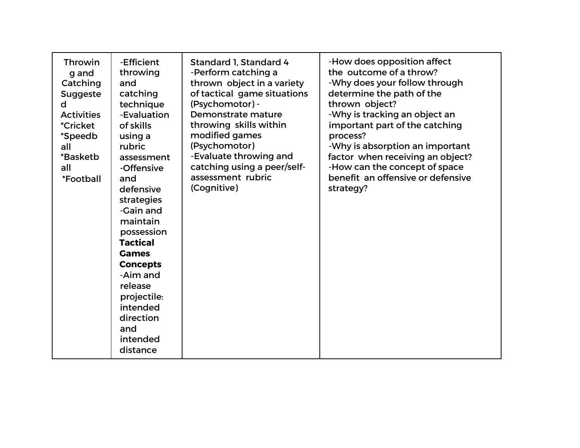| <b>Throwin</b><br>g and<br>Catching<br><b>Suggeste</b><br>d<br><b>Activities</b><br><i><b>*Cricket</b></i><br>*Speedb<br>all<br>*Basketb<br>all<br>*Football | -Efficient<br>throwing<br>and<br>catching<br>technique<br>-Evaluation<br>of skills<br>using a<br>rubric<br>assessment<br>-Offensive<br>and<br>defensive<br>strategies<br>-Gain and<br>maintain<br>possession<br><b>Tactical</b><br><b>Games</b><br><b>Concepts</b><br>-Aim and<br>release<br>projectile:<br>intended<br>direction<br>and<br>intended<br>distance | Standard 1, Standard 4<br>-Perform catching a<br>thrown object in a variety<br>of tactical game situations<br>(Psychomotor) -<br>Demonstrate mature<br>throwing skills within<br>modified games<br>(Psychomotor)<br>-Evaluate throwing and<br>catching using a peer/self-<br>assessment rubric<br>(Cognitive) | -How does opposition affect<br>the outcome of a throw?<br>-Why does your follow through<br>determine the path of the<br>thrown object?<br>-Why is tracking an object an<br>important part of the catching<br>process?<br>-Why is absorption an important<br>factor when receiving an object?<br>-How can the concept of space<br>benefit an offensive or defensive<br>strategy? |
|--------------------------------------------------------------------------------------------------------------------------------------------------------------|------------------------------------------------------------------------------------------------------------------------------------------------------------------------------------------------------------------------------------------------------------------------------------------------------------------------------------------------------------------|---------------------------------------------------------------------------------------------------------------------------------------------------------------------------------------------------------------------------------------------------------------------------------------------------------------|---------------------------------------------------------------------------------------------------------------------------------------------------------------------------------------------------------------------------------------------------------------------------------------------------------------------------------------------------------------------------------|
|--------------------------------------------------------------------------------------------------------------------------------------------------------------|------------------------------------------------------------------------------------------------------------------------------------------------------------------------------------------------------------------------------------------------------------------------------------------------------------------------------------------------------------------|---------------------------------------------------------------------------------------------------------------------------------------------------------------------------------------------------------------------------------------------------------------------------------------------------------------|---------------------------------------------------------------------------------------------------------------------------------------------------------------------------------------------------------------------------------------------------------------------------------------------------------------------------------------------------------------------------------|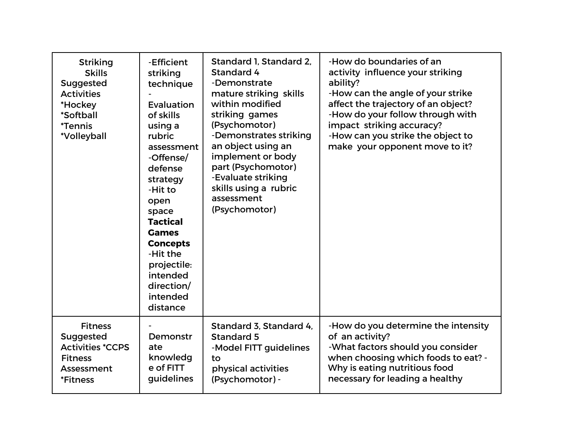| <b>Striking</b><br><b>Skills</b><br>Suggested<br><b>Activities</b><br>*Hockey<br>*Softball<br><i><b>*Tennis</b></i><br>*Volleyball | -Efficient<br>striking<br>technique<br>Evaluation<br>of skills<br>using a<br>rubric<br>assessment<br>-Offense/<br>defense<br>strategy<br>-Hit to<br>open<br>space<br><b>Tactical</b><br><b>Games</b><br><b>Concepts</b><br>-Hit the<br>projectile:<br>intended<br>direction/<br>intended<br>distance | Standard 1, Standard 2,<br>Standard 4<br>-Demonstrate<br>mature striking skills<br>within modified<br>striking games<br>(Psychomotor)<br>-Demonstrates striking<br>an object using an<br>implement or body<br>part (Psychomotor)<br>-Evaluate striking<br>skills using a rubric<br>assessment<br>(Psychomotor) | -How do boundaries of an<br>activity influence your striking<br>ability?<br>-How can the angle of your strike<br>affect the trajectory of an object?<br>-How do your follow through with<br>impact striking accuracy?<br>-How can you strike the object to<br>make your opponent move to it? |
|------------------------------------------------------------------------------------------------------------------------------------|------------------------------------------------------------------------------------------------------------------------------------------------------------------------------------------------------------------------------------------------------------------------------------------------------|----------------------------------------------------------------------------------------------------------------------------------------------------------------------------------------------------------------------------------------------------------------------------------------------------------------|----------------------------------------------------------------------------------------------------------------------------------------------------------------------------------------------------------------------------------------------------------------------------------------------|
| <b>Fitness</b><br>Suggested<br><b>Activities *CCPS</b><br><b>Fitness</b><br>Assessment<br><i><b>*Fitness</b></i>                   | Demonstr<br>ate<br>knowledg<br>e of FITT<br>guidelines                                                                                                                                                                                                                                               | Standard 3, Standard 4,<br>Standard 5<br>-Model FITT guidelines<br>to<br>physical activities<br>(Psychomotor) -                                                                                                                                                                                                | -How do you determine the intensity<br>of an activity?<br>-What factors should you consider<br>when choosing which foods to eat? -<br>Why is eating nutritious food<br>necessary for leading a healthy                                                                                       |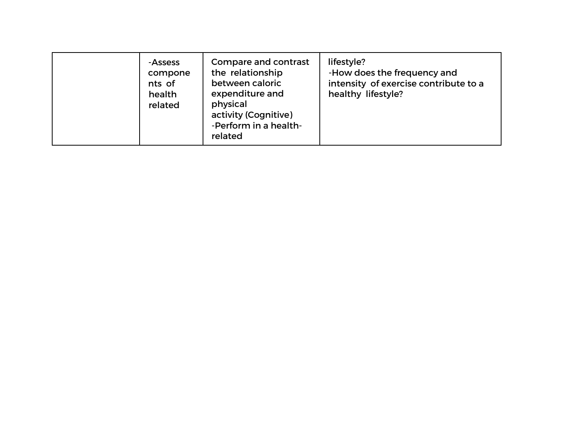| -Assess<br>compone<br>nts of<br>health<br>related | Compare and contrast<br>the relationship<br>between caloric<br>expenditure and<br>physical<br>activity (Cognitive)<br>-Perform in a health-<br>related | lifestyle?<br>-How does the frequency and<br>intensity of exercise contribute to a<br>healthy lifestyle? |
|---------------------------------------------------|--------------------------------------------------------------------------------------------------------------------------------------------------------|----------------------------------------------------------------------------------------------------------|
|---------------------------------------------------|--------------------------------------------------------------------------------------------------------------------------------------------------------|----------------------------------------------------------------------------------------------------------|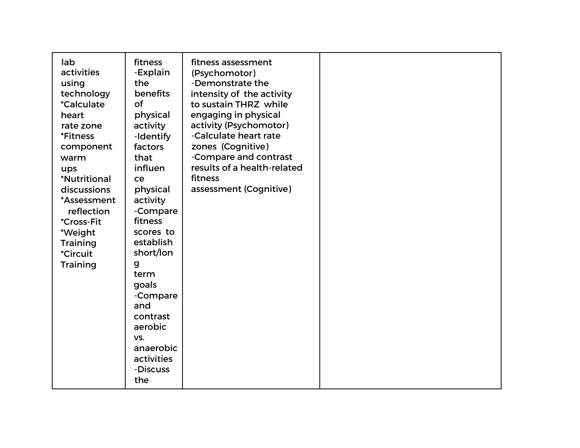| fitness<br>lab<br>fitness assessment<br>activities<br>-Explain<br>(Psychomotor)<br>-Demonstrate the<br>the<br>using<br>benefits<br>technology<br>intensity of the activity<br>of<br><i>*Calculate</i><br>to sustain THRZ while<br>engaging in physical<br>physical<br>heart<br>activity (Psychomotor)<br>rate zone<br>activity<br>-Calculate heart rate<br><i><b>*Fitness</b></i><br>-Identify<br>zones (Cognitive)<br>factors<br>component<br>-Compare and contrast<br>that<br>warm<br>results of a health-related<br>influen<br>ups<br>fitness<br><i><b>*Nutritional</b></i><br>ce<br>assessment (Cognitive)<br>physical<br>discussions<br>activity<br>*Assessment<br>-Compare<br>reflection<br>fitness<br><i><b>*Cross-Fit</b></i><br>scores to<br>*Weight<br>establish<br><b>Training</b><br>short/lon<br><i><b>*Circuit</b></i><br><b>Training</b><br>g<br>term<br>goals<br>-Compare<br>and<br>contrast<br>aerobic<br>VS.<br>anaerobic<br>activities<br>-Discuss<br>the |  |
|------------------------------------------------------------------------------------------------------------------------------------------------------------------------------------------------------------------------------------------------------------------------------------------------------------------------------------------------------------------------------------------------------------------------------------------------------------------------------------------------------------------------------------------------------------------------------------------------------------------------------------------------------------------------------------------------------------------------------------------------------------------------------------------------------------------------------------------------------------------------------------------------------------------------------------------------------------------------------|--|
|------------------------------------------------------------------------------------------------------------------------------------------------------------------------------------------------------------------------------------------------------------------------------------------------------------------------------------------------------------------------------------------------------------------------------------------------------------------------------------------------------------------------------------------------------------------------------------------------------------------------------------------------------------------------------------------------------------------------------------------------------------------------------------------------------------------------------------------------------------------------------------------------------------------------------------------------------------------------------|--|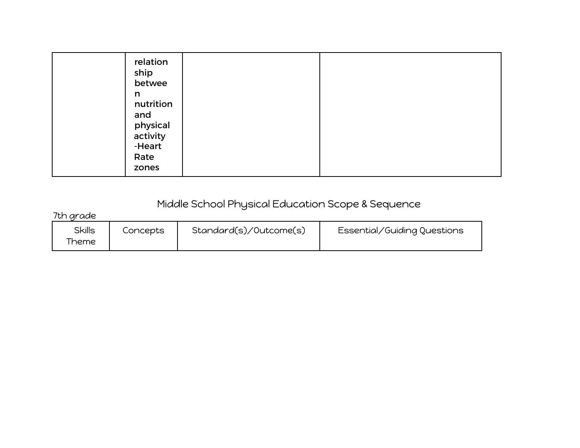| relation<br>ship<br>betwee<br>n<br>nutrition<br>and<br>physical<br>activity<br>-Heart<br>Rate<br>zones |  |  |
|--------------------------------------------------------------------------------------------------------|--|--|
|--------------------------------------------------------------------------------------------------------|--|--|

## Middle School Physical Education Scope & Sequence

7th grade

| <b>Skills</b><br>heme | Concepts | Standard(s)/Outcome(s) | Essential/Guiding Questions |
|-----------------------|----------|------------------------|-----------------------------|
|-----------------------|----------|------------------------|-----------------------------|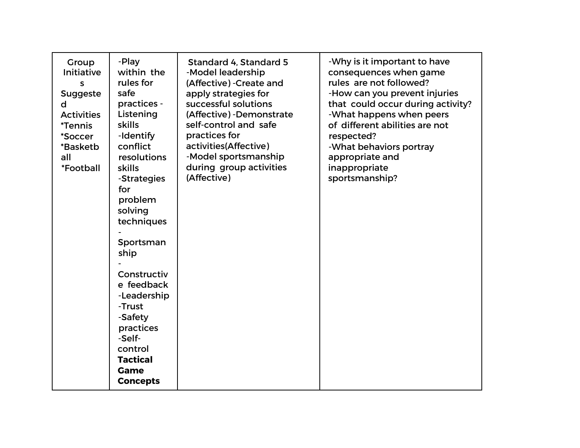| Group<br><b>Initiative</b><br>S<br><b>Suggeste</b><br>d<br><b>Activities</b><br><i><b>*Tennis</b></i><br>*Soccer<br>*Basketb<br>all<br>*Football | -Play<br>within the<br>rules for<br>safe<br>practices -<br>Listening<br><b>skills</b><br>-Identify<br>conflict<br>resolutions<br><b>skills</b><br>-Strategies<br>for<br>problem<br>solving<br>techniques<br>Sportsman<br>ship<br>Constructiv<br>e feedback<br>-Leadership<br>-Trust<br>-Safety<br>practices<br>-Self-<br>control<br><b>Tactical</b><br><b>Game</b><br><b>Concepts</b> | Standard 4, Standard 5<br>-Model leadership<br>(Affective) - Create and<br>apply strategies for<br>successful solutions<br>(Affective) - Demonstrate<br>self-control and safe<br>practices for<br>activities(Affective)<br>-Model sportsmanship<br>during group activities<br>(Affective) | -Why is it important to have<br>consequences when game<br>rules are not followed?<br>-How can you prevent injuries<br>that could occur during activity?<br>-What happens when peers<br>of different abilities are not<br>respected?<br>-What behaviors portray<br>appropriate and<br>inappropriate<br>sportsmanship? |
|--------------------------------------------------------------------------------------------------------------------------------------------------|---------------------------------------------------------------------------------------------------------------------------------------------------------------------------------------------------------------------------------------------------------------------------------------------------------------------------------------------------------------------------------------|-------------------------------------------------------------------------------------------------------------------------------------------------------------------------------------------------------------------------------------------------------------------------------------------|----------------------------------------------------------------------------------------------------------------------------------------------------------------------------------------------------------------------------------------------------------------------------------------------------------------------|
|--------------------------------------------------------------------------------------------------------------------------------------------------|---------------------------------------------------------------------------------------------------------------------------------------------------------------------------------------------------------------------------------------------------------------------------------------------------------------------------------------------------------------------------------------|-------------------------------------------------------------------------------------------------------------------------------------------------------------------------------------------------------------------------------------------------------------------------------------------|----------------------------------------------------------------------------------------------------------------------------------------------------------------------------------------------------------------------------------------------------------------------------------------------------------------------|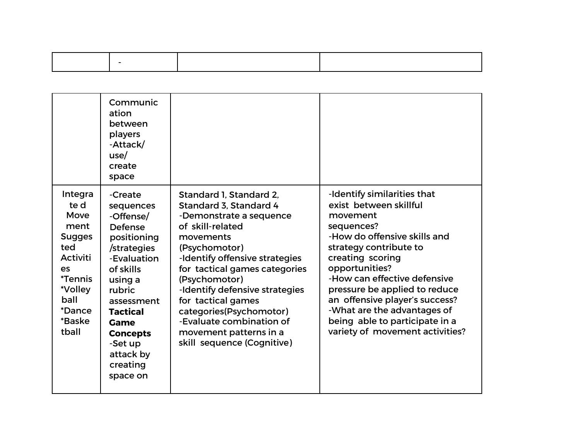|                                                                                                                                                                         | Communic<br>ation<br>between<br>players<br>-Attack/<br>use/<br>create<br>space                                                                                                                                                                 |                                                                                                                                                                                                                                                                                                                                                                                           |                                                                                                                                                                                                                                                                                                                                                                                        |
|-------------------------------------------------------------------------------------------------------------------------------------------------------------------------|------------------------------------------------------------------------------------------------------------------------------------------------------------------------------------------------------------------------------------------------|-------------------------------------------------------------------------------------------------------------------------------------------------------------------------------------------------------------------------------------------------------------------------------------------------------------------------------------------------------------------------------------------|----------------------------------------------------------------------------------------------------------------------------------------------------------------------------------------------------------------------------------------------------------------------------------------------------------------------------------------------------------------------------------------|
| Integra<br>te d<br>Move<br>ment<br><b>Sugges</b><br>ted<br><b>Activiti</b><br>es<br><i><b>*Tennis</b></i><br>*Volley<br>ball<br><i><b>*Dance</b></i><br>*Baske<br>tball | -Create<br>sequences<br>-Offense/<br><b>Defense</b><br>positioning<br>/strategies<br>-Evaluation<br>of skills<br>using a<br>rubric<br>assessment<br><b>Tactical</b><br>Game<br><b>Concepts</b><br>-Set up<br>attack by<br>creating<br>space on | Standard 1, Standard 2,<br>Standard 3, Standard 4<br>-Demonstrate a sequence<br>of skill-related<br>movements<br>(Psychomotor)<br>-Identify offensive strategies<br>for tactical games categories<br>(Psychomotor)<br>-Identify defensive strategies<br>for tactical games<br>categories(Psychomotor)<br>-Evaluate combination of<br>movement patterns in a<br>skill sequence (Cognitive) | -Identify similarities that<br>exist between skillful<br>movement<br>sequences?<br>-How do offensive skills and<br>strategy contribute to<br>creating scoring<br>opportunities?<br>-How can effective defensive<br>pressure be applied to reduce<br>an offensive player's success?<br>-What are the advantages of<br>being able to participate in a<br>variety of movement activities? |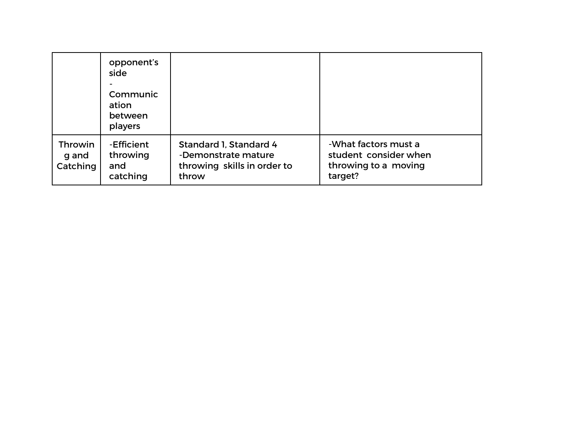|                              | opponent's<br>side<br>Communic<br>ation<br>between<br>players |                                                                                       |                                                                                  |
|------------------------------|---------------------------------------------------------------|---------------------------------------------------------------------------------------|----------------------------------------------------------------------------------|
| Throwin<br>g and<br>Catching | -Efficient<br>throwing<br>and<br>catching                     | Standard 1, Standard 4<br>-Demonstrate mature<br>throwing skills in order to<br>throw | -What factors must a<br>student consider when<br>throwing to a moving<br>target? |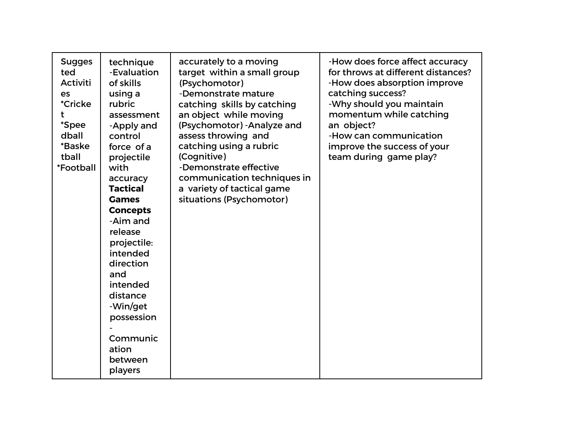| <b>Sugges</b><br>ted<br><b>Activiti</b><br>es<br><i><b>*Cricke</b></i><br>t<br><i><b>*Spee</b></i><br>dball<br>*Baske<br>tball<br>*Football | technique<br>-Evaluation<br>of skills<br>using a<br>rubric<br>assessment<br>-Apply and<br>control<br>force of a<br>projectile<br>with<br>accuracy<br><b>Tactical</b><br><b>Games</b><br><b>Concepts</b><br>-Aim and<br>release<br>projectile:<br>intended<br>direction<br>and<br>intended<br>distance<br>-Win/get<br>possession<br>Communic<br>ation<br>between<br>players | accurately to a moving<br>target within a small group<br>(Psychomotor)<br>-Demonstrate mature<br>catching skills by catching<br>an object while moving<br>(Psychomotor) - Analyze and<br>assess throwing and<br>catching using a rubric<br>(Cognitive)<br>-Demonstrate effective<br>communication techniques in<br>a variety of tactical game<br>situations (Psychomotor) | -How does force affect accuracy<br>for throws at different distances?<br>-How does absorption improve<br>catching success?<br>-Why should you maintain<br>momentum while catching<br>an object?<br>-How can communication<br>improve the success of your<br>team during game play? |
|---------------------------------------------------------------------------------------------------------------------------------------------|----------------------------------------------------------------------------------------------------------------------------------------------------------------------------------------------------------------------------------------------------------------------------------------------------------------------------------------------------------------------------|---------------------------------------------------------------------------------------------------------------------------------------------------------------------------------------------------------------------------------------------------------------------------------------------------------------------------------------------------------------------------|------------------------------------------------------------------------------------------------------------------------------------------------------------------------------------------------------------------------------------------------------------------------------------|
|---------------------------------------------------------------------------------------------------------------------------------------------|----------------------------------------------------------------------------------------------------------------------------------------------------------------------------------------------------------------------------------------------------------------------------------------------------------------------------------------------------------------------------|---------------------------------------------------------------------------------------------------------------------------------------------------------------------------------------------------------------------------------------------------------------------------------------------------------------------------------------------------------------------------|------------------------------------------------------------------------------------------------------------------------------------------------------------------------------------------------------------------------------------------------------------------------------------|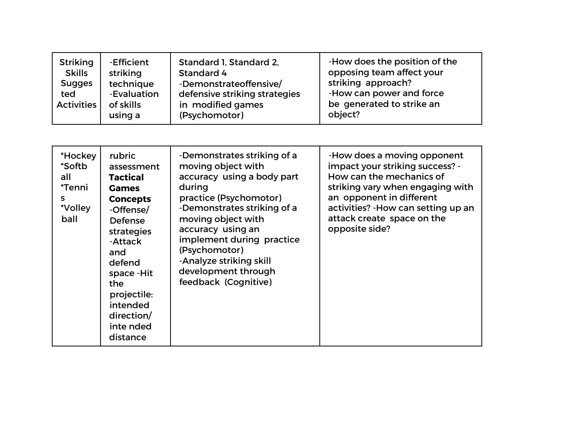| <b>Striking</b><br><b>Skills</b><br><b>Sugges</b><br>ted<br><b>Activities</b> | -Efficient<br>striking<br>technique<br>-Evaluation<br>of skills<br>using a | Standard 1, Standard 2,<br>Standard 4<br>-Demonstrateoffensive/<br>defensive striking strategies<br>in modified games<br>(Psychomotor) | -How does the position of the<br>opposing team affect your<br>striking approach?<br>-How can power and force<br>be generated to strike an<br>object? |
|-------------------------------------------------------------------------------|----------------------------------------------------------------------------|----------------------------------------------------------------------------------------------------------------------------------------|------------------------------------------------------------------------------------------------------------------------------------------------------|
|-------------------------------------------------------------------------------|----------------------------------------------------------------------------|----------------------------------------------------------------------------------------------------------------------------------------|------------------------------------------------------------------------------------------------------------------------------------------------------|

| *Hockey<br>*Softb<br>all<br>*Tenni<br>S.<br>*Volley<br>ball | rubric<br>assessment<br><b>Tactical</b><br><b>Games</b><br><b>Concepts</b><br>-Offense/<br><b>Defense</b><br>strategies<br>-Attack<br>and<br>defend<br>space - Hit<br>the<br>projectile:<br>intended<br>direction/<br>inte nded<br>distance | -Demonstrates striking of a<br>moving object with<br>accuracy using a body part<br>during<br>practice (Psychomotor)<br>-Demonstrates striking of a<br>moving object with<br>accuracy using an<br>implement during practice<br>(Psychomotor)<br>-Analyze striking skill<br>development through<br>feedback (Cognitive) | -How does a moving opponent<br>impact your striking success? -<br>How can the mechanics of<br>striking vary when engaging with<br>an opponent in different<br>activities? - How can setting up an<br>attack create space on the<br>opposite side? |
|-------------------------------------------------------------|---------------------------------------------------------------------------------------------------------------------------------------------------------------------------------------------------------------------------------------------|-----------------------------------------------------------------------------------------------------------------------------------------------------------------------------------------------------------------------------------------------------------------------------------------------------------------------|---------------------------------------------------------------------------------------------------------------------------------------------------------------------------------------------------------------------------------------------------|
|-------------------------------------------------------------|---------------------------------------------------------------------------------------------------------------------------------------------------------------------------------------------------------------------------------------------|-----------------------------------------------------------------------------------------------------------------------------------------------------------------------------------------------------------------------------------------------------------------------------------------------------------------------|---------------------------------------------------------------------------------------------------------------------------------------------------------------------------------------------------------------------------------------------------|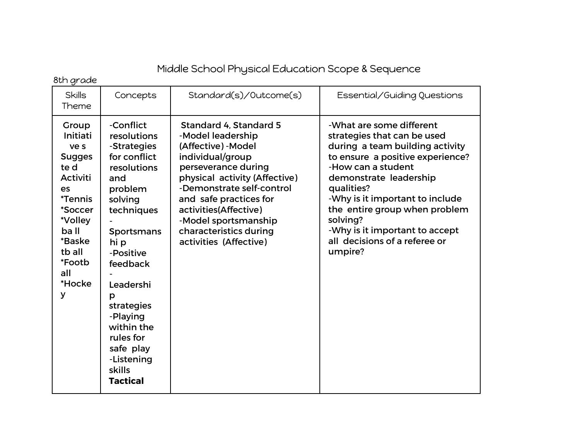## Middle School Physical Education Scope & Sequence

8th grade

| <b>Skills</b><br>Theme                                                                                                                                                                  | Concepts                                                                                                                                                                                                                                                                                        | Standard(s)/Outcome(s)                                                                                                                                                                                                                                                                                            | Essential/Guiding Questions                                                                                                                                                                                                                                                                                                                                |
|-----------------------------------------------------------------------------------------------------------------------------------------------------------------------------------------|-------------------------------------------------------------------------------------------------------------------------------------------------------------------------------------------------------------------------------------------------------------------------------------------------|-------------------------------------------------------------------------------------------------------------------------------------------------------------------------------------------------------------------------------------------------------------------------------------------------------------------|------------------------------------------------------------------------------------------------------------------------------------------------------------------------------------------------------------------------------------------------------------------------------------------------------------------------------------------------------------|
| Group<br>Initiati<br>ve s<br><b>Sugges</b><br>te d<br><b>Activiti</b><br>es<br><i><b>*Tennis</b></i><br>*Soccer<br>*Volley<br>ba II<br>*Baske<br>tb all<br>*Footb<br>all<br>*Hocke<br>У | -Conflict<br>resolutions<br>-Strategies<br>for conflict<br>resolutions<br>and<br>problem<br>solving<br>techniques<br>Sportsmans<br>hi p<br>-Positive<br>feedback<br>Leadershi<br>p<br>strategies<br>-Playing<br>within the<br>rules for<br>safe play<br>-Listening<br>skills<br><b>Tactical</b> | <b>Standard 4, Standard 5</b><br>-Model leadership<br>(Affective) - Model<br>individual/group<br>perseverance during<br>physical activity (Affective)<br>-Demonstrate self-control<br>and safe practices for<br>activities(Affective)<br>-Model sportsmanship<br>characteristics during<br>activities (Affective) | -What are some different<br>strategies that can be used<br>during a team building activity<br>to ensure a positive experience?<br>-How can a student<br>demonstrate leadership<br>qualities?<br>-Why is it important to include<br>the entire group when problem<br>solving?<br>-Why is it important to accept<br>all decisions of a referee or<br>umpire? |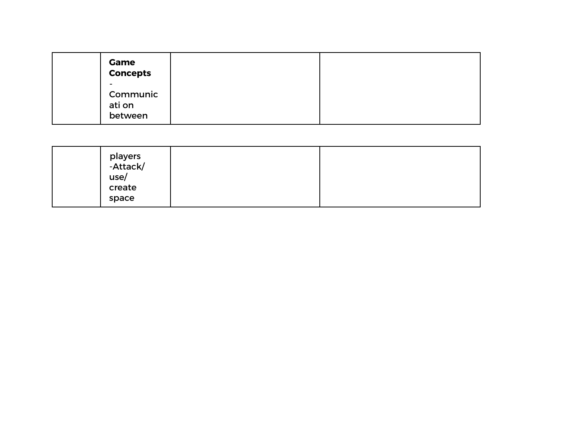| <b>Game</b><br><b>Concepts</b>     |  |
|------------------------------------|--|
| -<br>Communic<br>ati on<br>between |  |

| players<br>-Attack/<br>use/<br>create |  |
|---------------------------------------|--|
| space                                 |  |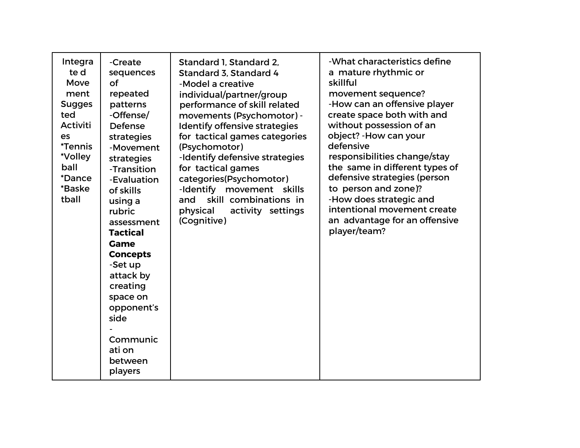| Integra<br>te d<br>Move<br>ment<br><b>Sugges</b><br>ted<br><b>Activiti</b><br>es<br><i><b>*Tennis</b></i><br>*Volley<br>ball<br><i><b>*Dance</b></i><br>*Baske<br>tball | -Create<br>sequences<br>of<br>repeated<br>patterns<br>-Offense/<br><b>Defense</b><br>strategies<br>-Movement<br>strategies<br>-Transition<br>-Evaluation<br>of skills<br>using a<br>rubric<br>assessment<br><b>Tactical</b><br><b>Game</b><br><b>Concepts</b><br>-Set up<br>attack by<br>creating<br>space on<br>opponent's<br>side<br>Communic<br>ati on<br>between<br>players | Standard 1, Standard 2,<br>Standard 3, Standard 4<br>-Model a creative<br>individual/partner/group<br>performance of skill related<br>movements (Psychomotor) -<br>Identify offensive strategies<br>for tactical games categories<br>(Psychomotor)<br>-Identify defensive strategies<br>for tactical games<br>categories(Psychomotor)<br>-Identify movement skills<br>skill combinations in<br>and<br>physical<br>activity settings<br>(Cognitive) | -What characteristics define<br>a mature rhythmic or<br>skillful<br>movement sequence?<br>-How can an offensive player<br>create space both with and<br>without possession of an<br>object? - How can your<br>defensive<br>responsibilities change/stay<br>the same in different types of<br>defensive strategies (person<br>to person and zone)?<br>-How does strategic and<br>intentional movement create<br>an advantage for an offensive<br>player/team? |
|-------------------------------------------------------------------------------------------------------------------------------------------------------------------------|---------------------------------------------------------------------------------------------------------------------------------------------------------------------------------------------------------------------------------------------------------------------------------------------------------------------------------------------------------------------------------|----------------------------------------------------------------------------------------------------------------------------------------------------------------------------------------------------------------------------------------------------------------------------------------------------------------------------------------------------------------------------------------------------------------------------------------------------|--------------------------------------------------------------------------------------------------------------------------------------------------------------------------------------------------------------------------------------------------------------------------------------------------------------------------------------------------------------------------------------------------------------------------------------------------------------|
|-------------------------------------------------------------------------------------------------------------------------------------------------------------------------|---------------------------------------------------------------------------------------------------------------------------------------------------------------------------------------------------------------------------------------------------------------------------------------------------------------------------------------------------------------------------------|----------------------------------------------------------------------------------------------------------------------------------------------------------------------------------------------------------------------------------------------------------------------------------------------------------------------------------------------------------------------------------------------------------------------------------------------------|--------------------------------------------------------------------------------------------------------------------------------------------------------------------------------------------------------------------------------------------------------------------------------------------------------------------------------------------------------------------------------------------------------------------------------------------------------------|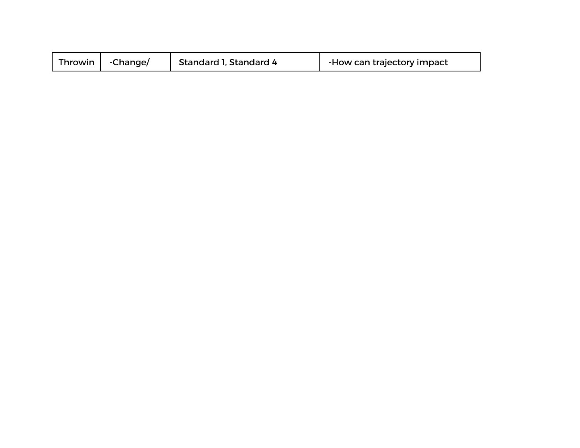| Throwin | -Change/ | Standard 1, Standard 4 | -How can trajectory impact |
|---------|----------|------------------------|----------------------------|
|---------|----------|------------------------|----------------------------|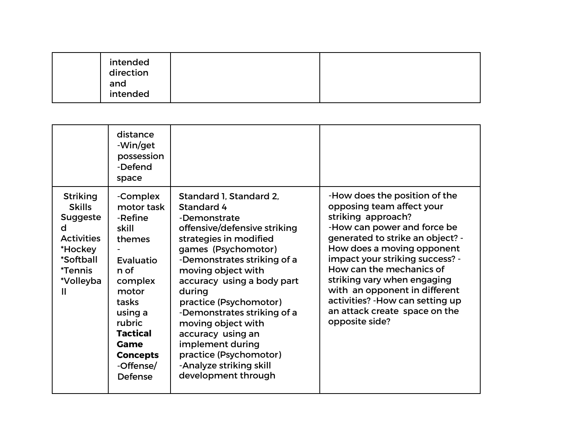| intended<br>direction<br>and<br>intended |
|------------------------------------------|
|------------------------------------------|

|                                                                                                                                                  | distance                                                                                                                                                                                          |                                                                                                                                                                                                                                                                                                                                                                                                                                         |                                                                                                                                                                                                                                                                                                                                                                                                         |
|--------------------------------------------------------------------------------------------------------------------------------------------------|---------------------------------------------------------------------------------------------------------------------------------------------------------------------------------------------------|-----------------------------------------------------------------------------------------------------------------------------------------------------------------------------------------------------------------------------------------------------------------------------------------------------------------------------------------------------------------------------------------------------------------------------------------|---------------------------------------------------------------------------------------------------------------------------------------------------------------------------------------------------------------------------------------------------------------------------------------------------------------------------------------------------------------------------------------------------------|
|                                                                                                                                                  | -Win/get<br>possession<br>-Defend<br>space                                                                                                                                                        |                                                                                                                                                                                                                                                                                                                                                                                                                                         |                                                                                                                                                                                                                                                                                                                                                                                                         |
| <b>Striking</b><br><b>Skills</b><br><b>Suggeste</b><br>d<br><b>Activities</b><br>*Hockey<br>*Softball<br><i><b>*Tennis</b></i><br>*Volleyba<br>Ш | -Complex<br>motor task<br>-Refine<br>skill<br>themes<br>Evaluatio<br>n of<br>complex<br>motor<br>tasks<br>using a<br>rubric<br><b>Tactical</b><br>Game<br><b>Concepts</b><br>-Offense/<br>Defense | Standard 1, Standard 2,<br>Standard 4<br>-Demonstrate<br>offensive/defensive striking<br>strategies in modified<br>games (Psychomotor)<br>-Demonstrates striking of a<br>moving object with<br>accuracy using a body part<br>during<br>practice (Psychomotor)<br>-Demonstrates striking of a<br>moving object with<br>accuracy using an<br>implement during<br>practice (Psychomotor)<br>-Analyze striking skill<br>development through | -How does the position of the<br>opposing team affect your<br>striking approach?<br>-How can power and force be<br>generated to strike an object? -<br>How does a moving opponent<br>impact your striking success? -<br>How can the mechanics of<br>striking vary when engaging<br>with an opponent in different<br>activities? - How can setting up<br>an attack create space on the<br>opposite side? |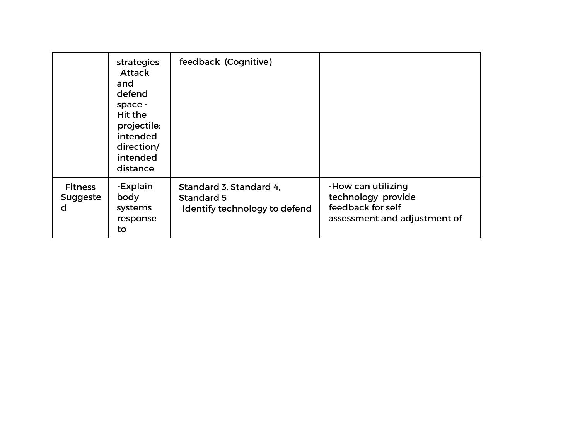|                                        | strategies<br>-Attack<br>and<br>defend<br>space -<br>Hit the<br>projectile:<br>intended<br>direction/<br>intended<br>distance | feedback (Cognitive)                                                    |                                                                                               |
|----------------------------------------|-------------------------------------------------------------------------------------------------------------------------------|-------------------------------------------------------------------------|-----------------------------------------------------------------------------------------------|
| <b>Fitness</b><br><b>Suggeste</b><br>d | -Explain<br>body<br>systems<br>response<br>to                                                                                 | Standard 3, Standard 4,<br>Standard 5<br>-Identify technology to defend | -How can utilizing<br>technology provide<br>feedback for self<br>assessment and adjustment of |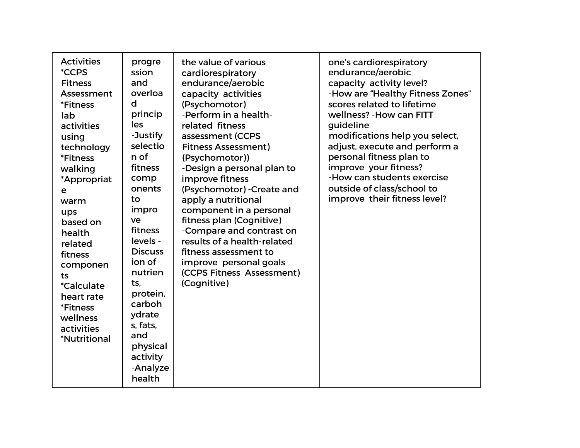| <b>Activities</b><br>progre<br><i><b>*CCPS</b></i><br>ssion<br>and<br><b>Fitness</b><br>overloa<br>Assessment<br>d<br><i><b>*Fitness</b></i><br>princip<br>lab<br>les<br>activities<br>-Justify<br>using<br>selectio<br>technology<br>n of<br><i><b>*Fitness</b></i><br>fitness<br>walking<br>comp<br>*Appropriat<br>onents<br>е<br>to<br>warm<br>impro<br>ups<br>ve<br>based on<br>fitness<br>health<br>levels -<br>related<br><b>Discuss</b><br>fitness<br>ion of<br>componen<br>nutrien<br>ts<br>ts,<br><i>*Calculate</i><br>protein,<br>heart rate<br>carboh<br><i><b>*Fitness</b></i><br>ydrate<br>wellness<br>s, fats,<br>activities<br>and<br><i><b>*Nutritional</b></i><br>physical<br>activity<br>-Analyze<br>health | the value of various<br>cardiorespiratory<br>endurance/aerobic<br>capacity activities<br>(Psychomotor)<br>-Perform in a health-<br>related fitness<br>assessment (CCPS<br><b>Fitness Assessment)</b><br>(Psychomotor))<br>-Design a personal plan to<br>improve fitness<br>(Psychomotor) - Create and<br>apply a nutritional<br>component in a personal<br>fitness plan (Cognitive)<br>-Compare and contrast on<br>results of a health-related<br>fitness assessment to<br>improve personal goals<br>(CCPS Fitness Assessment)<br>(Cognitive) | one's cardiorespiratory<br>endurance/aerobic<br>capacity activity level?<br>-How are "Healthy Fitness Zones"<br>scores related to lifetime<br>wellness? - How can FITT<br>guideline<br>modifications help you select,<br>adjust, execute and perform a<br>personal fitness plan to<br>improve your fitness?<br>-How can students exercise<br>outside of class/school to<br>improve their fitness level? |
|-------------------------------------------------------------------------------------------------------------------------------------------------------------------------------------------------------------------------------------------------------------------------------------------------------------------------------------------------------------------------------------------------------------------------------------------------------------------------------------------------------------------------------------------------------------------------------------------------------------------------------------------------------------------------------------------------------------------------------|-----------------------------------------------------------------------------------------------------------------------------------------------------------------------------------------------------------------------------------------------------------------------------------------------------------------------------------------------------------------------------------------------------------------------------------------------------------------------------------------------------------------------------------------------|---------------------------------------------------------------------------------------------------------------------------------------------------------------------------------------------------------------------------------------------------------------------------------------------------------------------------------------------------------------------------------------------------------|
|-------------------------------------------------------------------------------------------------------------------------------------------------------------------------------------------------------------------------------------------------------------------------------------------------------------------------------------------------------------------------------------------------------------------------------------------------------------------------------------------------------------------------------------------------------------------------------------------------------------------------------------------------------------------------------------------------------------------------------|-----------------------------------------------------------------------------------------------------------------------------------------------------------------------------------------------------------------------------------------------------------------------------------------------------------------------------------------------------------------------------------------------------------------------------------------------------------------------------------------------------------------------------------------------|---------------------------------------------------------------------------------------------------------------------------------------------------------------------------------------------------------------------------------------------------------------------------------------------------------------------------------------------------------------------------------------------------------|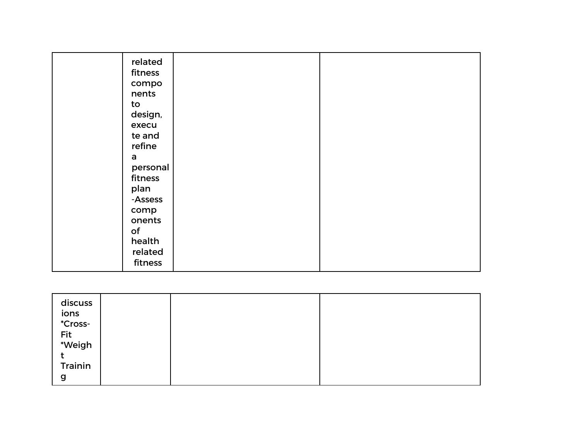| related  |  |
|----------|--|
| fitness  |  |
| compo    |  |
| nents    |  |
| to       |  |
| design,  |  |
| execu    |  |
| te and   |  |
| refine   |  |
| a        |  |
| personal |  |
| fitness  |  |
| plan     |  |
| -Assess  |  |
| comp     |  |
| onents   |  |
| of       |  |
| health   |  |
| related  |  |
| fitness  |  |

| discuss         |  |  |
|-----------------|--|--|
|                 |  |  |
| ions<br>*Cross- |  |  |
| Fit<br>*Weigh   |  |  |
|                 |  |  |
|                 |  |  |
|                 |  |  |
|                 |  |  |
| Trainin         |  |  |
|                 |  |  |
| g               |  |  |
|                 |  |  |